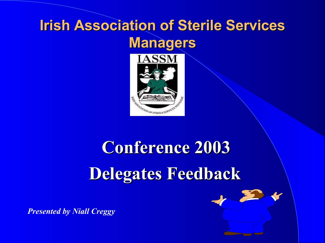# **Irish Association of Sterile Services Managers**



# **Conference 2003 Delegates Feedback**



*Presented by Niall Creggy*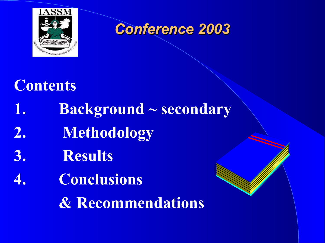

# **Contents**

- **1. Background ~ secondary**
- **2. Methodology**
- **3. Results**
- **4. Conclusions**

**& Recommendations**

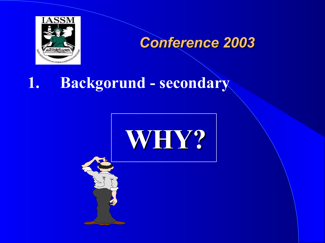

# **1. Backgorund - secondary**

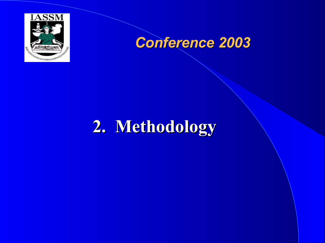

# **2. Methodology**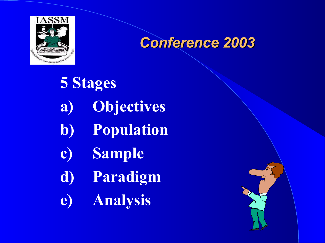

**5 Stages a) Objectives b) Population c) Sample d) Paradigm e) Analysis**

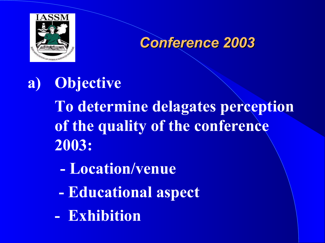

**a) Objective To determine delagates perception of the quality of the conference 2003:**

- **- Location/venue**
- **- Educational aspect**
- **Exhibition**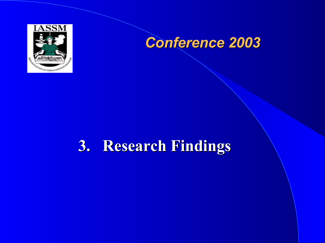

# **3. Research Findings**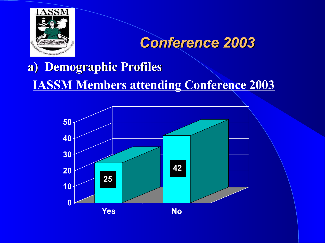

# **a) Demographic Profiles IASSM Members attending Conference 2003**

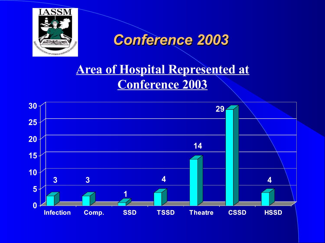

### **Area of Hospital Represented at Conference 2003**

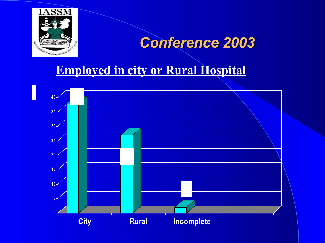

#### **Employed in city or Rural Hospital**

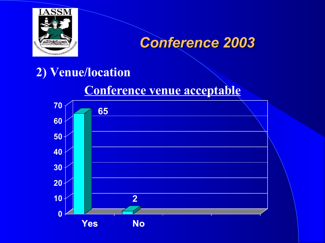

#### **2) Venue/location**

#### **Conference venue acceptable**

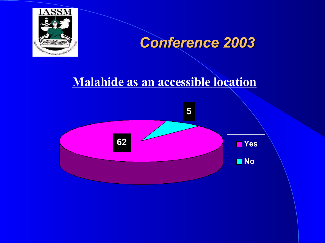

#### **Malahide as an accessible location**

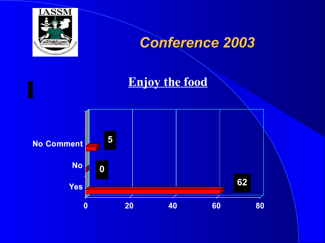

#### **Enjoy the food**

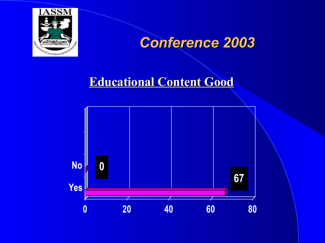

#### **Educational Content Good**

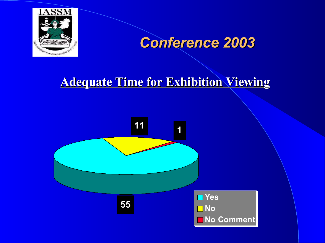

#### **Adequate Time for Exhibition Viewing**

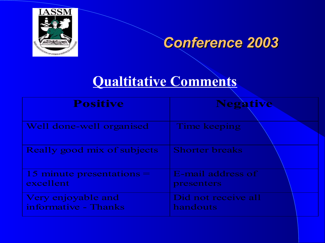

### **Qualtitative Comments**

| <b>Positive</b>                            | <b>Negative</b>                 |
|--------------------------------------------|---------------------------------|
| Well done-well organised                   | Time keeping                    |
| Really good mix of subjects                | <b>Shorter breaks</b>           |
| 15 minute presentations $=$<br>excellent   | E-mail address of<br>presenters |
| Very enjoyable and<br>informative - Thanks | Did not receive all<br>handouts |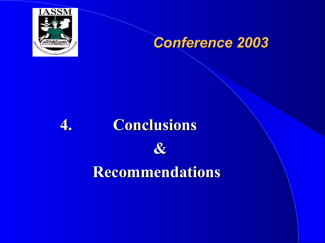

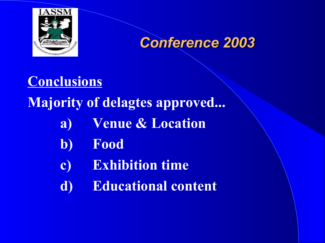



# **Conclusions Majority of delagtes approved... a) Venue & Location b) Food c) Exhibition time d) Educational content**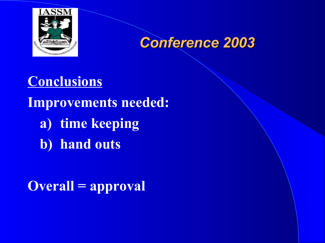



**Conclusions Improvements needed: a) time keeping b) hand outs**

**Overall = approval**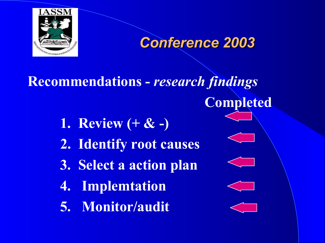

**Recommendations -** *research findings* **Completed 1. Review (+ & -) 2. Identify root causes 3. Select a action plan 4. Implemtation 5. Monitor/audit**